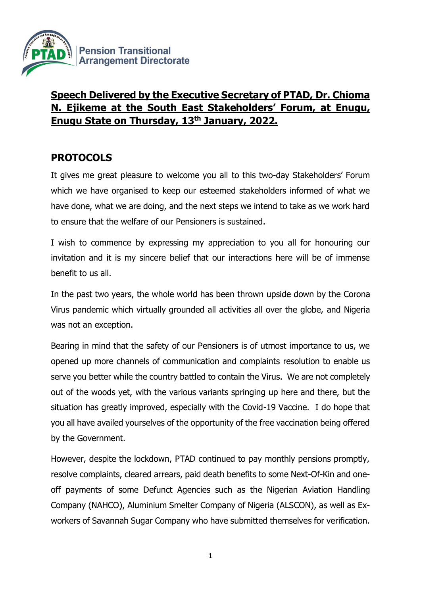

# **Speech Delivered by the Executive Secretary of PTAD, Dr. Chioma N. Ejikeme at the South East Stakeholders' Forum, at Enugu, Enugu State on Thursday, 13th January, 2022.**

# **PROTOCOLS**

It gives me great pleasure to welcome you all to this two-day Stakeholders' Forum which we have organised to keep our esteemed stakeholders informed of what we have done, what we are doing, and the next steps we intend to take as we work hard to ensure that the welfare of our Pensioners is sustained.

I wish to commence by expressing my appreciation to you all for honouring our invitation and it is my sincere belief that our interactions here will be of immense benefit to us all.

In the past two years, the whole world has been thrown upside down by the Corona Virus pandemic which virtually grounded all activities all over the globe, and Nigeria was not an exception.

Bearing in mind that the safety of our Pensioners is of utmost importance to us, we opened up more channels of communication and complaints resolution to enable us serve you better while the country battled to contain the Virus. We are not completely out of the woods yet, with the various variants springing up here and there, but the situation has greatly improved, especially with the Covid-19 Vaccine. I do hope that you all have availed yourselves of the opportunity of the free vaccination being offered by the Government.

However, despite the lockdown, PTAD continued to pay monthly pensions promptly, resolve complaints, cleared arrears, paid death benefits to some Next-Of-Kin and oneoff payments of some Defunct Agencies such as the Nigerian Aviation Handling Company (NAHCO), Aluminium Smelter Company of Nigeria (ALSCON), as well as Exworkers of Savannah Sugar Company who have submitted themselves for verification.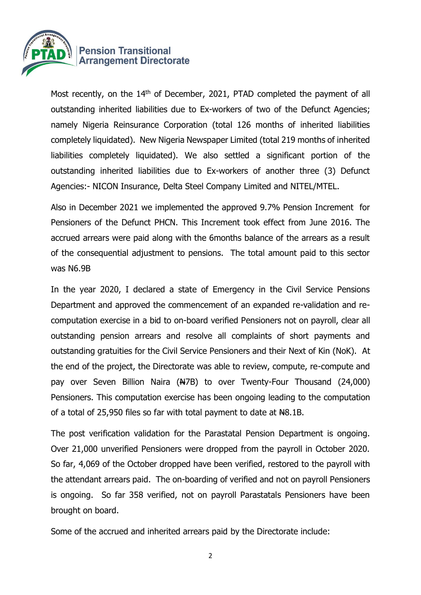

Most recently, on the 14<sup>th</sup> of December, 2021, PTAD completed the payment of all outstanding inherited liabilities due to Ex-workers of two of the Defunct Agencies; namely Nigeria Reinsurance Corporation (total 126 months of inherited liabilities completely liquidated). New Nigeria Newspaper Limited (total 219 months of inherited liabilities completely liquidated). We also settled a significant portion of the outstanding inherited liabilities due to Ex-workers of another three (3) Defunct Agencies:- NICON Insurance, Delta Steel Company Limited and NITEL/MTEL.

Also in December 2021 we implemented the approved 9.7% Pension Increment for Pensioners of the Defunct PHCN. This Increment took effect from June 2016. The accrued arrears were paid along with the 6months balance of the arrears as a result of the consequential adjustment to pensions. The total amount paid to this sector was N6.9B

In the year 2020, I declared a state of Emergency in the Civil Service Pensions Department and approved the commencement of an expanded re-validation and recomputation exercise in a bid to on-board verified Pensioners not on payroll, clear all outstanding pension arrears and resolve all complaints of short payments and outstanding gratuities for the Civil Service Pensioners and their Next of Kin (NoK). At the end of the project, the Directorate was able to review, compute, re-compute and pay over Seven Billion Naira (N7B) to over Twenty-Four Thousand (24,000) Pensioners. This computation exercise has been ongoing leading to the computation of a total of 25,950 files so far with total payment to date at  $H_8$ .1B.

The post verification validation for the Parastatal Pension Department is ongoing. Over 21,000 unverified Pensioners were dropped from the payroll in October 2020. So far, 4,069 of the October dropped have been verified, restored to the payroll with the attendant arrears paid. The on-boarding of verified and not on payroll Pensioners is ongoing. So far 358 verified, not on payroll Parastatals Pensioners have been brought on board.

Some of the accrued and inherited arrears paid by the Directorate include: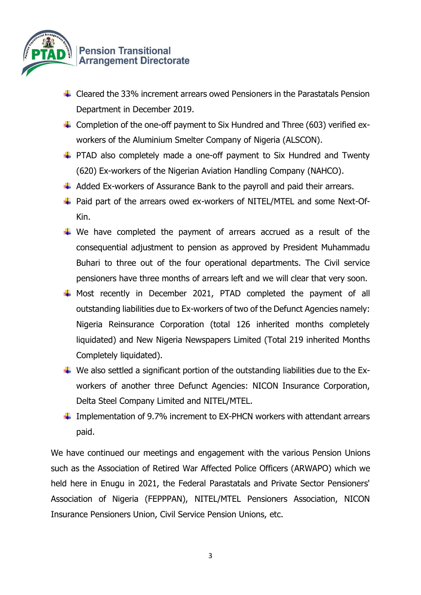

- $\ddot{\phantom{1}}$  Cleared the 33% increment arrears owed Pensioners in the Parastatals Pension Department in December 2019.
- 4 Completion of the one-off payment to Six Hundred and Three (603) verified exworkers of the Aluminium Smelter Company of Nigeria (ALSCON).
- $\uparrow$  PTAD also completely made a one-off payment to Six Hundred and Twenty (620) Ex-workers of the Nigerian Aviation Handling Company (NAHCO).
- $\ddot{+}$  Added Ex-workers of Assurance Bank to the payroll and paid their arrears.
- ↓ Paid part of the arrears owed ex-workers of NITEL/MTEL and some Next-Of-Kin.
- $\ddot$  We have completed the payment of arrears accrued as a result of the consequential adjustment to pension as approved by President Muhammadu Buhari to three out of the four operational departments. The Civil service pensioners have three months of arrears left and we will clear that very soon.
- $\downarrow$  Most recently in December 2021, PTAD completed the payment of all outstanding liabilities due to Ex-workers of two of the Defunct Agencies namely: Nigeria Reinsurance Corporation (total 126 inherited months completely liquidated) and New Nigeria Newspapers Limited (Total 219 inherited Months Completely liquidated).
- $\ddot{+}$  We also settled a significant portion of the outstanding liabilities due to the Exworkers of another three Defunct Agencies: NICON Insurance Corporation, Delta Steel Company Limited and NITEL/MTEL.
- $\ddot{+}$  Implementation of 9.7% increment to EX-PHCN workers with attendant arrears paid.

We have continued our meetings and engagement with the various Pension Unions such as the Association of Retired War Affected Police Officers (ARWAPO) which we held here in Enugu in 2021, the Federal Parastatals and Private Sector Pensioners' Association of Nigeria (FEPPPAN), NITEL/MTEL Pensioners Association, NICON Insurance Pensioners Union, Civil Service Pension Unions, etc.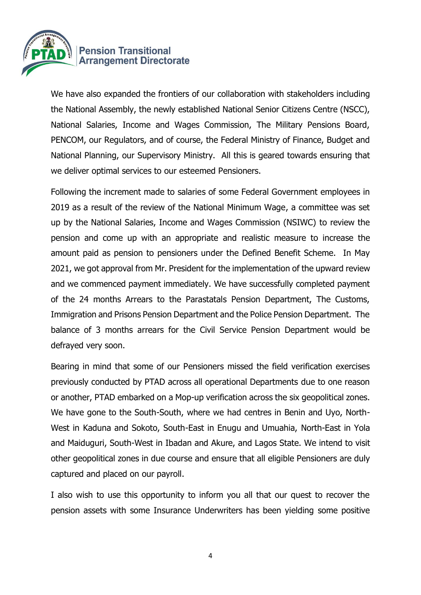

We have also expanded the frontiers of our collaboration with stakeholders including the National Assembly, the newly established National Senior Citizens Centre (NSCC), National Salaries, Income and Wages Commission, The Military Pensions Board, PENCOM, our Regulators, and of course, the Federal Ministry of Finance, Budget and National Planning, our Supervisory Ministry. All this is geared towards ensuring that we deliver optimal services to our esteemed Pensioners.

Following the increment made to salaries of some Federal Government employees in 2019 as a result of the review of the National Minimum Wage, a committee was set up by the National Salaries, Income and Wages Commission (NSIWC) to review the pension and come up with an appropriate and realistic measure to increase the amount paid as pension to pensioners under the Defined Benefit Scheme. In May 2021, we got approval from Mr. President for the implementation of the upward review and we commenced payment immediately. We have successfully completed payment of the 24 months Arrears to the Parastatals Pension Department, The Customs, Immigration and Prisons Pension Department and the Police Pension Department. The balance of 3 months arrears for the Civil Service Pension Department would be defrayed very soon.

Bearing in mind that some of our Pensioners missed the field verification exercises previously conducted by PTAD across all operational Departments due to one reason or another, PTAD embarked on a Mop-up verification across the six geopolitical zones. We have gone to the South-South, where we had centres in Benin and Uyo, North-West in Kaduna and Sokoto, South-East in Enugu and Umuahia, North-East in Yola and Maiduguri, South-West in Ibadan and Akure, and Lagos State. We intend to visit other geopolitical zones in due course and ensure that all eligible Pensioners are duly captured and placed on our payroll.

I also wish to use this opportunity to inform you all that our quest to recover the pension assets with some Insurance Underwriters has been yielding some positive

4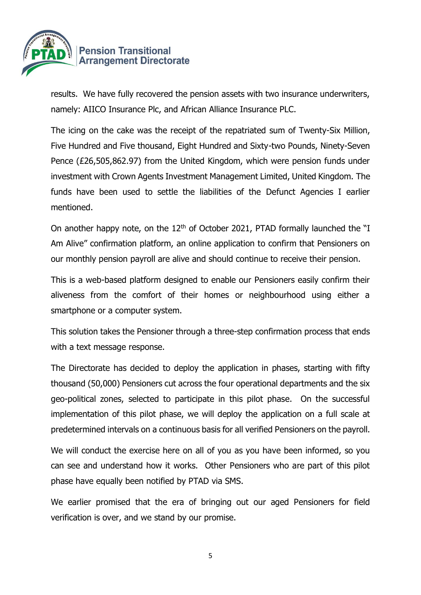

results. We have fully recovered the pension assets with two insurance underwriters, namely: AIICO Insurance Plc, and African Alliance Insurance PLC.

The icing on the cake was the receipt of the repatriated sum of Twenty-Six Million, Five Hundred and Five thousand, Eight Hundred and Sixty-two Pounds, Ninety-Seven Pence (£26,505,862.97) from the United Kingdom, which were pension funds under investment with Crown Agents Investment Management Limited, United Kingdom. The funds have been used to settle the liabilities of the Defunct Agencies I earlier mentioned.

On another happy note, on the 12<sup>th</sup> of October 2021, PTAD formally launched the "I Am Alive" confirmation platform, an online application to confirm that Pensioners on our monthly pension payroll are alive and should continue to receive their pension.

This is a web-based platform designed to enable our Pensioners easily confirm their aliveness from the comfort of their homes or neighbourhood using either a smartphone or a computer system.

This solution takes the Pensioner through a three-step confirmation process that ends with a text message response.

The Directorate has decided to deploy the application in phases, starting with fifty thousand (50,000) Pensioners cut across the four operational departments and the six geo-political zones, selected to participate in this pilot phase. On the successful implementation of this pilot phase, we will deploy the application on a full scale at predetermined intervals on a continuous basis for all verified Pensioners on the payroll.

We will conduct the exercise here on all of you as you have been informed, so you can see and understand how it works. Other Pensioners who are part of this pilot phase have equally been notified by PTAD via SMS.

We earlier promised that the era of bringing out our aged Pensioners for field verification is over, and we stand by our promise.

5